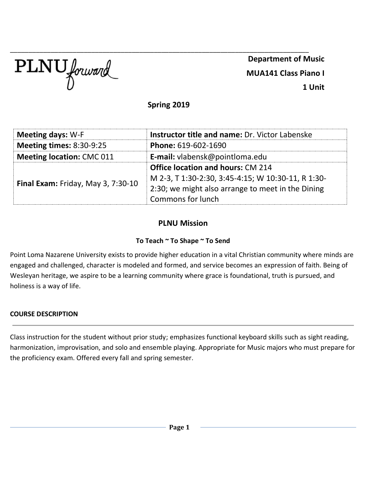

\_\_\_\_\_\_\_\_\_\_\_\_\_\_\_\_\_\_\_\_\_\_\_\_\_\_\_\_\_\_\_\_\_\_\_\_\_\_\_\_\_\_\_\_\_\_\_\_\_\_\_\_\_\_\_\_\_\_\_\_\_\_\_\_\_\_\_\_\_\_\_\_\_\_\_\_\_\_\_\_\_ **Department of Music MUA141 Class Piano I 1 Unit**

**Spring 2019**

| <b>Meeting days: W-F</b>           | <b>Instructor title and name: Dr. Victor Labenske</b> |  |
|------------------------------------|-------------------------------------------------------|--|
| <b>Meeting times: 8:30-9:25</b>    | Phone: 619-602-1690                                   |  |
| <b>Meeting location: CMC 011</b>   | E-mail: vlabensk@pointloma.edu                        |  |
| Final Exam: Friday, May 3, 7:30-10 | <b>Office location and hours: CM 214</b>              |  |
|                                    | M 2-3, T 1:30-2:30, 3:45-4:15; W 10:30-11, R 1:30-    |  |
|                                    | 2:30; we might also arrange to meet in the Dining     |  |
|                                    | Commons for lunch                                     |  |

# **PLNU Mission**

## **To Teach ~ To Shape ~ To Send**

Point Loma Nazarene University exists to provide higher education in a vital Christian community where minds are engaged and challenged, character is modeled and formed, and service becomes an expression of faith. Being of Wesleyan heritage, we aspire to be a learning community where grace is foundational, truth is pursued, and holiness is a way of life.

## **COURSE DESCRIPTION**

Class instruction for the student without prior study; emphasizes functional keyboard skills such as sight reading, harmonization, improvisation, and solo and ensemble playing. Appropriate for Music majors who must prepare for the proficiency exam. Offered every fall and spring semester.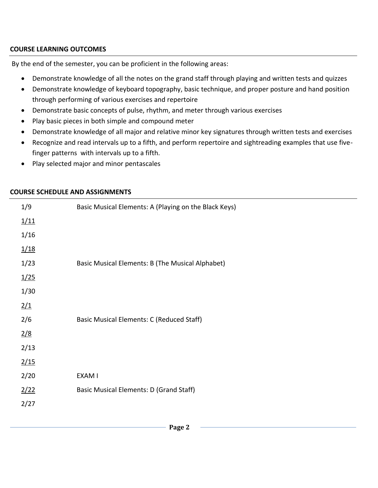## **COURSE LEARNING OUTCOMES**

By the end of the semester, you can be proficient in the following areas:

- Demonstrate knowledge of all the notes on the grand staff through playing and written tests and quizzes
- Demonstrate knowledge of keyboard topography, basic technique, and proper posture and hand position through performing of various exercises and repertoire
- Demonstrate basic concepts of pulse, rhythm, and meter through various exercises
- Play basic pieces in both simple and compound meter
- Demonstrate knowledge of all major and relative minor key signatures through written tests and exercises
- Recognize and read intervals up to a fifth, and perform repertoire and sightreading examples that use fivefinger patterns with intervals up to a fifth.
- Play selected major and minor pentascales

| 1/9  | Basic Musical Elements: A (Playing on the Black Keys) |  |
|------|-------------------------------------------------------|--|
| 1/11 |                                                       |  |
| 1/16 |                                                       |  |
| 1/18 |                                                       |  |
| 1/23 | Basic Musical Elements: B (The Musical Alphabet)      |  |
| 1/25 |                                                       |  |
| 1/30 |                                                       |  |
| 2/1  |                                                       |  |
| 2/6  | Basic Musical Elements: C (Reduced Staff)             |  |
| 2/8  |                                                       |  |
| 2/13 |                                                       |  |
| 2/15 |                                                       |  |
| 2/20 | EXAM I                                                |  |
| 2/22 | Basic Musical Elements: D (Grand Staff)               |  |
| 2/27 |                                                       |  |
|      |                                                       |  |

## **COURSE SCHEDULE AND ASSIGNMENTS**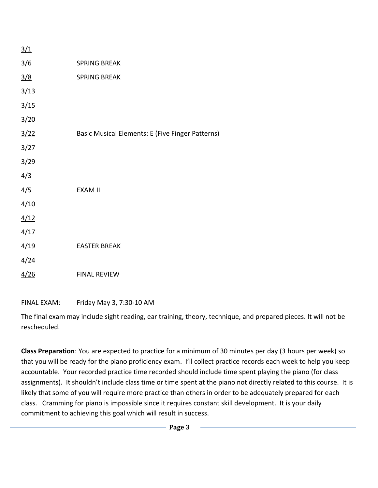| 3/1           |                                                  |
|---------------|--------------------------------------------------|
| 3/6           | <b>SPRING BREAK</b>                              |
| $\frac{3}{8}$ | <b>SPRING BREAK</b>                              |
| 3/13          |                                                  |
| 3/15          |                                                  |
| 3/20          |                                                  |
| 3/22          | Basic Musical Elements: E (Five Finger Patterns) |
| 3/27          |                                                  |
| 3/29          |                                                  |
| 4/3           |                                                  |
| 4/5           | <b>EXAM II</b>                                   |
| 4/10          |                                                  |
| 4/12          |                                                  |
| 4/17          |                                                  |
| 4/19          | <b>EASTER BREAK</b>                              |
| 4/24          |                                                  |
| <u>4/26</u>   | <b>FINAL REVIEW</b>                              |

## FINAL EXAM: Friday May 3, 7:30-10 AM

The final exam may include sight reading, ear training, theory, technique, and prepared pieces. It will not be rescheduled.

**Class Preparation**: You are expected to practice for a minimum of 30 minutes per day (3 hours per week) so that you will be ready for the piano proficiency exam. I'll collect practice records each week to help you keep accountable. Your recorded practice time recorded should include time spent playing the piano (for class assignments). It shouldn't include class time or time spent at the piano not directly related to this course. It is likely that some of you will require more practice than others in order to be adequately prepared for each class. Cramming for piano is impossible since it requires constant skill development. It is your daily commitment to achieving this goal which will result in success.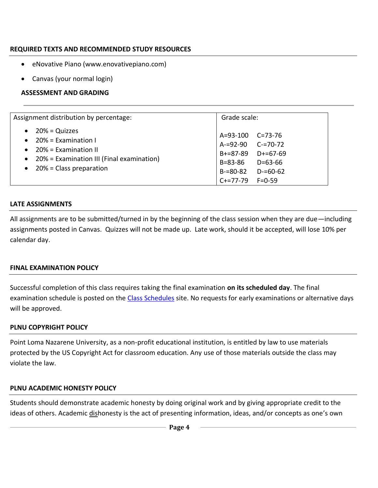## **REQUIRED TEXTS AND RECOMMENDED STUDY RESOURCES**

- eNovative Piano (www.enovativepiano.com)
- Canvas (your normal login)

### **ASSESSMENT AND GRADING**

| Assignment distribution by percentage:                                                                                                                                                                        | Grade scale:                                                                                                                                       |
|---------------------------------------------------------------------------------------------------------------------------------------------------------------------------------------------------------------|----------------------------------------------------------------------------------------------------------------------------------------------------|
| $20% = Quizzes$<br>$\bullet$<br>$20\%$ = Examination I<br>$\bullet$<br>$20\%$ = Examination II<br>$\bullet$<br>20% = Examination III (Final examination)<br>$\bullet$<br>20% = Class preparation<br>$\bullet$ | A=93-100 C=73-76<br>A-=92-90 C-=70-72<br>$B+=87-89$ $D+=67-69$<br>B=83-86<br>D=63-66<br>$B = 80 - 82$<br>$D = 60 - 62$<br>$C+=77-79$<br>$F = 0-59$ |

### **LATE ASSIGNMENTS**

All assignments are to be submitted/turned in by the beginning of the class session when they are due—including assignments posted in Canvas. Quizzes will not be made up. Late work, should it be accepted, will lose 10% per calendar day.

#### **FINAL EXAMINATION POLICY**

Successful completion of this class requires taking the final examination **on its scheduled day**. The final examination schedule is posted on the [Class Schedules](http://www.pointloma.edu/experience/academics/class-schedules) site. No requests for early examinations or alternative days will be approved.

## **PLNU COPYRIGHT POLICY**

Point Loma Nazarene University, as a non-profit educational institution, is entitled by law to use materials protected by the US Copyright Act for classroom education. Any use of those materials outside the class may violate the law.

#### **PLNU ACADEMIC HONESTY POLICY**

Students should demonstrate academic honesty by doing original work and by giving appropriate credit to the ideas of others. Academic dishonesty is the act of presenting information, ideas, and/or concepts as one's own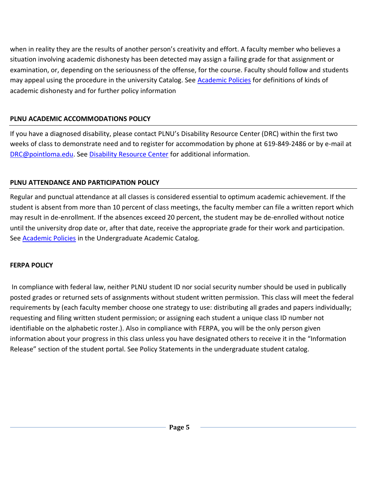when in reality they are the results of another person's creativity and effort. A faculty member who believes a situation involving academic dishonesty has been detected may assign a failing grade for that assignment or examination, or, depending on the seriousness of the offense, for the course. Faculty should follow and students may appeal using the procedure in the university Catalog. See [Academic Policies](http://catalog.pointloma.edu/content.php?catoid=18&navoid=1278) for definitions of kinds of academic dishonesty and for further policy information

# **PLNU ACADEMIC ACCOMMODATIONS POLICY**

If you have a diagnosed disability, please contact PLNU's Disability Resource Center (DRC) within the first two weeks of class to demonstrate need and to register for accommodation by phone at 619-849-2486 or by e-mail at [DRC@pointloma.edu.](mailto:DRC@pointloma.edu) See [Disability Resource Center](http://www.pointloma.edu/experience/offices/administrative-offices/academic-advising-office/disability-resource-center) for additional information.

# **PLNU ATTENDANCE AND PARTICIPATION POLICY**

Regular and punctual attendance at all classes is considered essential to optimum academic achievement. If the student is absent from more than 10 percent of class meetings, the faculty member can file a written report which may result in de-enrollment. If the absences exceed 20 percent, the student may be de-enrolled without notice until the university drop date or, after that date, receive the appropriate grade for their work and participation. See [Academic Policies](http://catalog.pointloma.edu/content.php?catoid=18&navoid=1278) in the Undergraduate Academic Catalog.

## **FERPA POLICY**

In compliance with federal law, neither PLNU student ID nor social security number should be used in publically posted grades or returned sets of assignments without student written permission. This class will meet the federal requirements by (each faculty member choose one strategy to use: distributing all grades and papers individually; requesting and filing written student permission; or assigning each student a unique class ID number not identifiable on the alphabetic roster.). Also in compliance with FERPA, you will be the only person given information about your progress in this class unless you have designated others to receive it in the "Information Release" section of the student portal. See Policy Statements in the undergraduate student catalog.